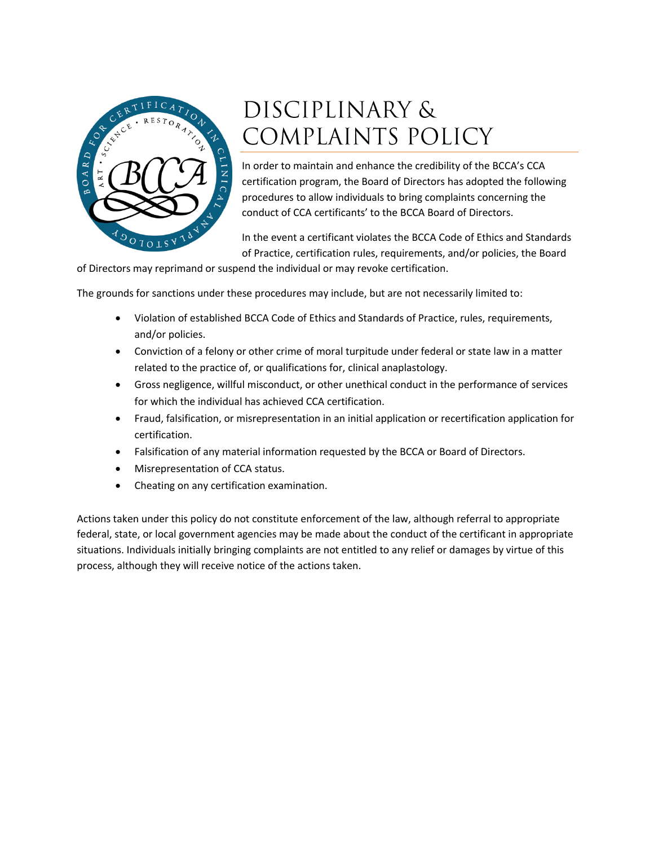

# DISCIPLINARY & COMPLAINTS POLICY

In order to maintain and enhance the credibility of the BCCA's CCA certification program, the Board of Directors has adopted the following procedures to allow individuals to bring complaints concerning the conduct of CCA certificants' to the BCCA Board of Directors.

In the event a certificant violates the BCCA Code of Ethics and Standards of Practice, certification rules, requirements, and/or policies, the Board

of Directors may reprimand or suspend the individual or may revoke certification.

The grounds for sanctions under these procedures may include, but are not necessarily limited to:

- Violation of established BCCA Code of Ethics and Standards of Practice, rules, requirements, and/or policies.
- Conviction of a felony or other crime of moral turpitude under federal or state law in a matter related to the practice of, or qualifications for, clinical anaplastology.
- Gross negligence, willful misconduct, or other unethical conduct in the performance of services for which the individual has achieved CCA certification.
- Fraud, falsification, or misrepresentation in an initial application or recertification application for certification.
- Falsification of any material information requested by the BCCA or Board of Directors.
- Misrepresentation of CCA status.
- Cheating on any certification examination.

Actions taken under this policy do not constitute enforcement of the law, although referral to appropriate federal, state, or local government agencies may be made about the conduct of the certificant in appropriate situations. Individuals initially bringing complaints are not entitled to any relief or damages by virtue of this process, although they will receive notice of the actions taken.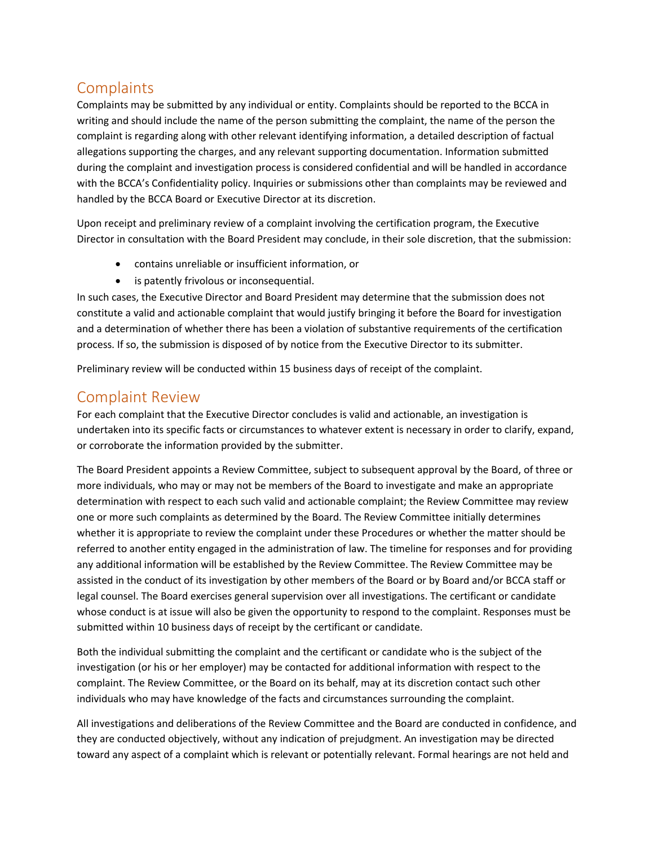## **Complaints**

Complaints may be submitted by any individual or entity. Complaints should be reported to the BCCA in writing and should include the name of the person submitting the complaint, the name of the person the complaint is regarding along with other relevant identifying information, a detailed description of factual allegations supporting the charges, and any relevant supporting documentation. Information submitted during the complaint and investigation process is considered confidential and will be handled in accordance with the BCCA's Confidentiality policy. Inquiries or submissions other than complaints may be reviewed and handled by the BCCA Board or Executive Director at its discretion.

Upon receipt and preliminary review of a complaint involving the certification program, the Executive Director in consultation with the Board President may conclude, in their sole discretion, that the submission:

- contains unreliable or insufficient information, or
- is patently frivolous or inconsequential.

In such cases, the Executive Director and Board President may determine that the submission does not constitute a valid and actionable complaint that would justify bringing it before the Board for investigation and a determination of whether there has been a violation of substantive requirements of the certification process. If so, the submission is disposed of by notice from the Executive Director to its submitter.

Preliminary review will be conducted within 15 business days of receipt of the complaint.

### Complaint Review

For each complaint that the Executive Director concludes is valid and actionable, an investigation is undertaken into its specific facts or circumstances to whatever extent is necessary in order to clarify, expand, or corroborate the information provided by the submitter.

The Board President appoints a Review Committee, subject to subsequent approval by the Board, of three or more individuals, who may or may not be members of the Board to investigate and make an appropriate determination with respect to each such valid and actionable complaint; the Review Committee may review one or more such complaints as determined by the Board. The Review Committee initially determines whether it is appropriate to review the complaint under these Procedures or whether the matter should be referred to another entity engaged in the administration of law. The timeline for responses and for providing any additional information will be established by the Review Committee. The Review Committee may be assisted in the conduct of its investigation by other members of the Board or by Board and/or BCCA staff or legal counsel. The Board exercises general supervision over all investigations. The certificant or candidate whose conduct is at issue will also be given the opportunity to respond to the complaint. Responses must be submitted within 10 business days of receipt by the certificant or candidate.

Both the individual submitting the complaint and the certificant or candidate who is the subject of the investigation (or his or her employer) may be contacted for additional information with respect to the complaint. The Review Committee, or the Board on its behalf, may at its discretion contact such other individuals who may have knowledge of the facts and circumstances surrounding the complaint.

All investigations and deliberations of the Review Committee and the Board are conducted in confidence, and they are conducted objectively, without any indication of prejudgment. An investigation may be directed toward any aspect of a complaint which is relevant or potentially relevant. Formal hearings are not held and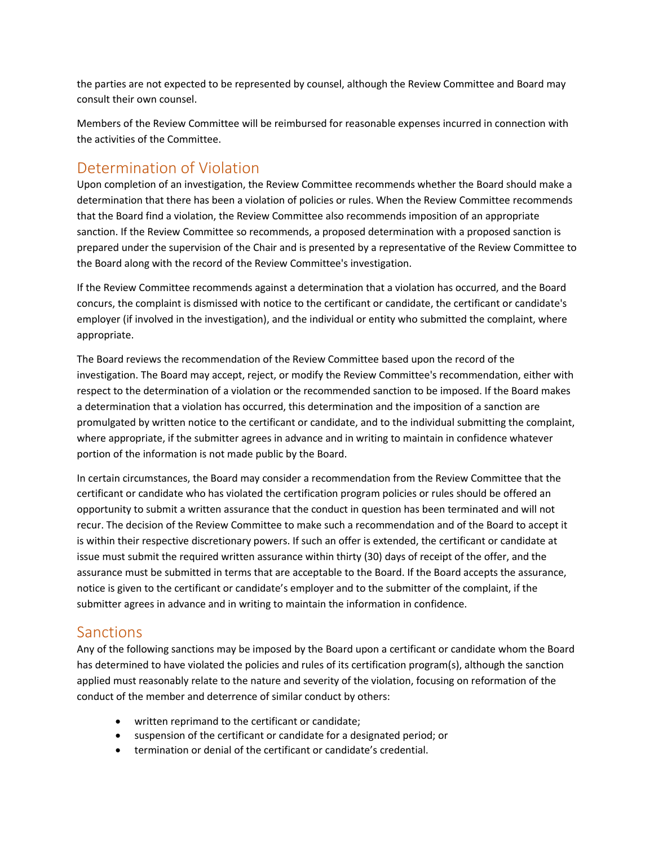the parties are not expected to be represented by counsel, although the Review Committee and Board may consult their own counsel.

Members of the Review Committee will be reimbursed for reasonable expenses incurred in connection with the activities of the Committee.

#### Determination of Violation

Upon completion of an investigation, the Review Committee recommends whether the Board should make a determination that there has been a violation of policies or rules. When the Review Committee recommends that the Board find a violation, the Review Committee also recommends imposition of an appropriate sanction. If the Review Committee so recommends, a proposed determination with a proposed sanction is prepared under the supervision of the Chair and is presented by a representative of the Review Committee to the Board along with the record of the Review Committee's investigation.

If the Review Committee recommends against a determination that a violation has occurred, and the Board concurs, the complaint is dismissed with notice to the certificant or candidate, the certificant or candidate's employer (if involved in the investigation), and the individual or entity who submitted the complaint, where appropriate.

The Board reviews the recommendation of the Review Committee based upon the record of the investigation. The Board may accept, reject, or modify the Review Committee's recommendation, either with respect to the determination of a violation or the recommended sanction to be imposed. If the Board makes a determination that a violation has occurred, this determination and the imposition of a sanction are promulgated by written notice to the certificant or candidate, and to the individual submitting the complaint, where appropriate, if the submitter agrees in advance and in writing to maintain in confidence whatever portion of the information is not made public by the Board.

In certain circumstances, the Board may consider a recommendation from the Review Committee that the certificant or candidate who has violated the certification program policies or rules should be offered an opportunity to submit a written assurance that the conduct in question has been terminated and will not recur. The decision of the Review Committee to make such a recommendation and of the Board to accept it is within their respective discretionary powers. If such an offer is extended, the certificant or candidate at issue must submit the required written assurance within thirty (30) days of receipt of the offer, and the assurance must be submitted in terms that are acceptable to the Board. If the Board accepts the assurance, notice is given to the certificant or candidate's employer and to the submitter of the complaint, if the submitter agrees in advance and in writing to maintain the information in confidence.

#### Sanctions

Any of the following sanctions may be imposed by the Board upon a certificant or candidate whom the Board has determined to have violated the policies and rules of its certification program(s), although the sanction applied must reasonably relate to the nature and severity of the violation, focusing on reformation of the conduct of the member and deterrence of similar conduct by others:

- written reprimand to the certificant or candidate;
- suspension of the certificant or candidate for a designated period; or
- termination or denial of the certificant or candidate's credential.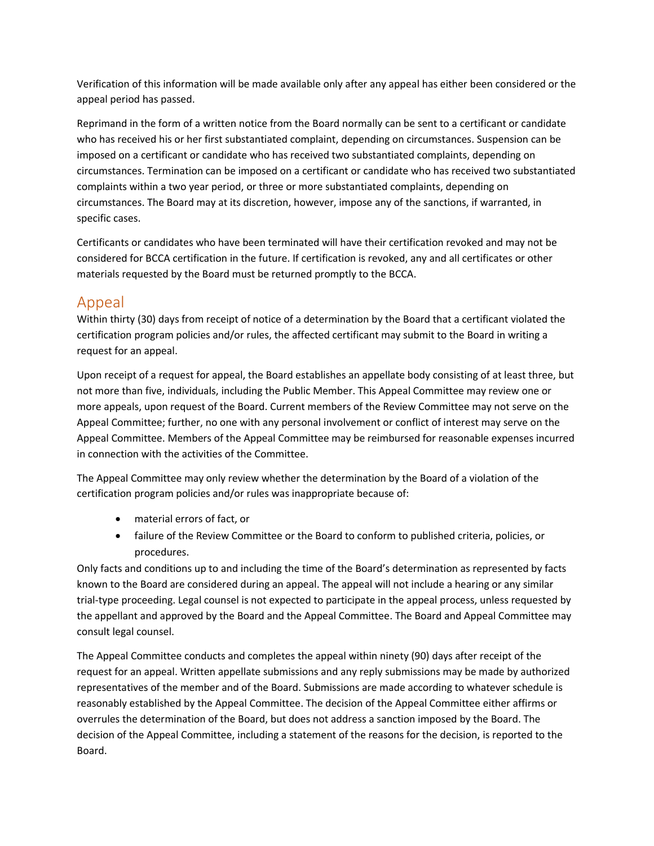Verification of this information will be made available only after any appeal has either been considered or the appeal period has passed.

Reprimand in the form of a written notice from the Board normally can be sent to a certificant or candidate who has received his or her first substantiated complaint, depending on circumstances. Suspension can be imposed on a certificant or candidate who has received two substantiated complaints, depending on circumstances. Termination can be imposed on a certificant or candidate who has received two substantiated complaints within a two year period, or three or more substantiated complaints, depending on circumstances. The Board may at its discretion, however, impose any of the sanctions, if warranted, in specific cases.

Certificants or candidates who have been terminated will have their certification revoked and may not be considered for BCCA certification in the future. If certification is revoked, any and all certificates or other materials requested by the Board must be returned promptly to the BCCA.

#### Appeal

Within thirty (30) days from receipt of notice of a determination by the Board that a certificant violated the certification program policies and/or rules, the affected certificant may submit to the Board in writing a request for an appeal.

Upon receipt of a request for appeal, the Board establishes an appellate body consisting of at least three, but not more than five, individuals, including the Public Member. This Appeal Committee may review one or more appeals, upon request of the Board. Current members of the Review Committee may not serve on the Appeal Committee; further, no one with any personal involvement or conflict of interest may serve on the Appeal Committee. Members of the Appeal Committee may be reimbursed for reasonable expenses incurred in connection with the activities of the Committee.

The Appeal Committee may only review whether the determination by the Board of a violation of the certification program policies and/or rules was inappropriate because of:

- material errors of fact, or
- failure of the Review Committee or the Board to conform to published criteria, policies, or procedures.

Only facts and conditions up to and including the time of the Board's determination as represented by facts known to the Board are considered during an appeal. The appeal will not include a hearing or any similar trial-type proceeding. Legal counsel is not expected to participate in the appeal process, unless requested by the appellant and approved by the Board and the Appeal Committee. The Board and Appeal Committee may consult legal counsel.

The Appeal Committee conducts and completes the appeal within ninety (90) days after receipt of the request for an appeal. Written appellate submissions and any reply submissions may be made by authorized representatives of the member and of the Board. Submissions are made according to whatever schedule is reasonably established by the Appeal Committee. The decision of the Appeal Committee either affirms or overrules the determination of the Board, but does not address a sanction imposed by the Board. The decision of the Appeal Committee, including a statement of the reasons for the decision, is reported to the Board.